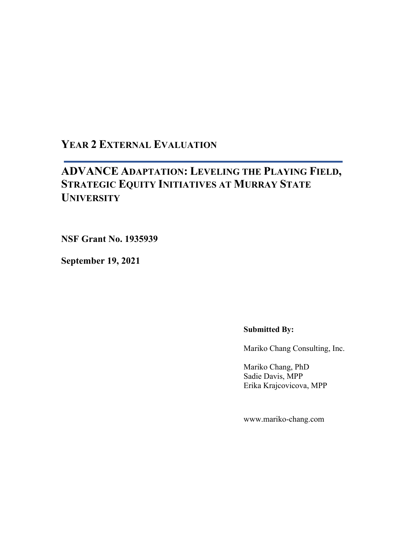## **YEAR 2 EXTERNAL EVALUATION**

# **ADVANCE ADAPTATION: LEVELING THE PLAYING FIELD, STRATEGIC EQUITY INITIATIVES AT MURRAY STATE UNIVERSITY**

**NSF Grant No. 1935939**

**September 19, 2021**

#### **Submitted By:**

Mariko Chang Consulting, Inc.

Mariko Chang, PhD Sadie Davis, MPP Erika Krajcovicova, MPP

www.mariko-chang.com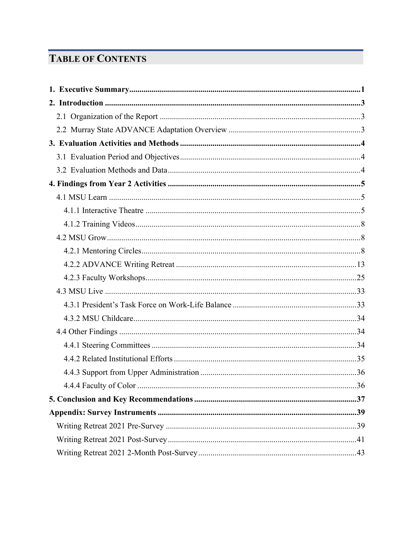# **TABLE OF CONTENTS**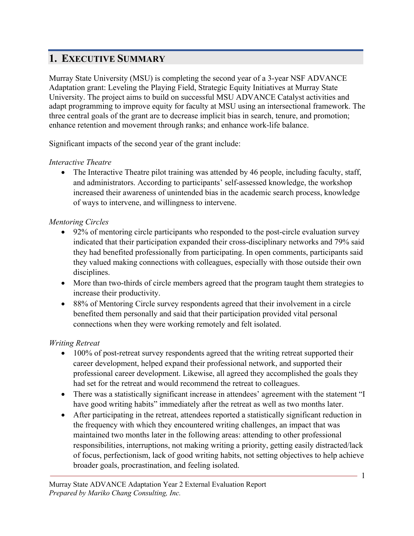# **1. EXECUTIVE SUMMARY**

Murray State University (MSU) is completing the second year of a 3-year NSF ADVANCE Adaptation grant: Leveling the Playing Field, Strategic Equity Initiatives at Murray State University. The project aims to build on successful MSU ADVANCE Catalyst activities and adapt programming to improve equity for faculty at MSU using an intersectional framework. The three central goals of the grant are to decrease implicit bias in search, tenure, and promotion; enhance retention and movement through ranks; and enhance work-life balance.

Significant impacts of the second year of the grant include:

## *Interactive Theatre*

• The Interactive Theatre pilot training was attended by 46 people, including faculty, staff, and administrators. According to participants' self-assessed knowledge, the workshop increased their awareness of unintended bias in the academic search process, knowledge of ways to intervene, and willingness to intervene.

## *Mentoring Circles*

- 92% of mentoring circle participants who responded to the post-circle evaluation survey indicated that their participation expanded their cross-disciplinary networks and 79% said they had benefited professionally from participating. In open comments, participants said they valued making connections with colleagues, especially with those outside their own disciplines.
- More than two-thirds of circle members agreed that the program taught them strategies to increase their productivity.
- 88% of Mentoring Circle survey respondents agreed that their involvement in a circle benefited them personally and said that their participation provided vital personal connections when they were working remotely and felt isolated.

## *Writing Retreat*

- 100% of post-retreat survey respondents agreed that the writing retreat supported their career development, helped expand their professional network, and supported their professional career development. Likewise, all agreed they accomplished the goals they had set for the retreat and would recommend the retreat to colleagues.
- There was a statistically significant increase in attendees' agreement with the statement "I have good writing habits" immediately after the retreat as well as two months later.
- After participating in the retreat, attendees reported a statistically significant reduction in the frequency with which they encountered writing challenges, an impact that was maintained two months later in the following areas: attending to other professional responsibilities, interruptions, not making writing a priority, getting easily distracted/lack of focus, perfectionism, lack of good writing habits, not setting objectives to help achieve broader goals, procrastination, and feeling isolated.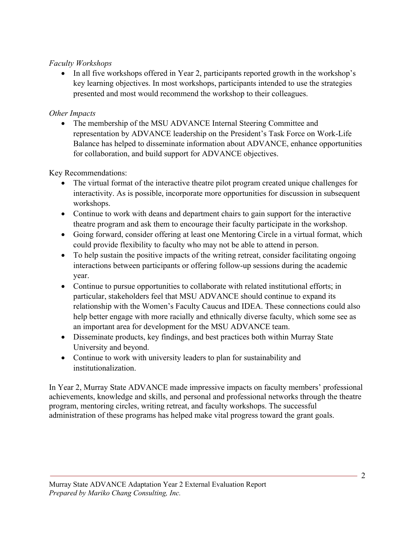## *Faculty Workshops*

• In all five workshops offered in Year 2, participants reported growth in the workshop's key learning objectives. In most workshops, participants intended to use the strategies presented and most would recommend the workshop to their colleagues.

## *Other Impacts*

• The membership of the MSU ADVANCE Internal Steering Committee and representation by ADVANCE leadership on the President's Task Force on Work-Life Balance has helped to disseminate information about ADVANCE, enhance opportunities for collaboration, and build support for ADVANCE objectives.

Key Recommendations:

- The virtual format of the interactive theatre pilot program created unique challenges for interactivity. As is possible, incorporate more opportunities for discussion in subsequent workshops.
- Continue to work with deans and department chairs to gain support for the interactive theatre program and ask them to encourage their faculty participate in the workshop.
- Going forward, consider offering at least one Mentoring Circle in a virtual format, which could provide flexibility to faculty who may not be able to attend in person.
- To help sustain the positive impacts of the writing retreat, consider facilitating ongoing interactions between participants or offering follow-up sessions during the academic year.
- Continue to pursue opportunities to collaborate with related institutional efforts; in particular, stakeholders feel that MSU ADVANCE should continue to expand its relationship with the Women's Faculty Caucus and IDEA. These connections could also help better engage with more racially and ethnically diverse faculty, which some see as an important area for development for the MSU ADVANCE team.
- Disseminate products, key findings, and best practices both within Murray State University and beyond.
- Continue to work with university leaders to plan for sustainability and institutionalization.

In Year 2, Murray State ADVANCE made impressive impacts on faculty members' professional achievements, knowledge and skills, and personal and professional networks through the theatre program, mentoring circles, writing retreat, and faculty workshops. The successful administration of these programs has helped make vital progress toward the grant goals.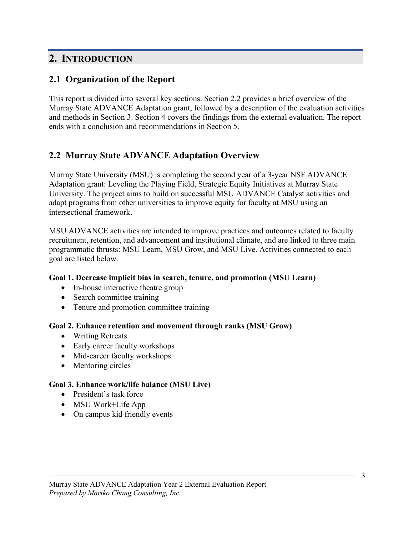## **2. INTRODUCTION**

## **2.1 Organization of the Report**

This report is divided into several key sections. Section 2.2 provides a brief overview of the Murray State ADVANCE Adaptation grant, followed by a description of the evaluation activities and methods in Section 3. Section 4 covers the findings from the external evaluation. The report ends with a conclusion and recommendations in Section 5.

## **2.2 Murray State ADVANCE Adaptation Overview**

Murray State University (MSU) is completing the second year of a 3-year NSF ADVANCE Adaptation grant: Leveling the Playing Field, Strategic Equity Initiatives at Murray State University. The project aims to build on successful MSU ADVANCE Catalyst activities and adapt programs from other universities to improve equity for faculty at MSU using an intersectional framework.

MSU ADVANCE activities are intended to improve practices and outcomes related to faculty recruitment, retention, and advancement and institutional climate, and are linked to three main programmatic thrusts: MSU Learn, MSU Grow, and MSU Live. Activities connected to each goal are listed below.

### **Goal 1. Decrease implicit bias in search, tenure, and promotion (MSU Learn)**

- In-house interactive theatre group
- Search committee training
- Tenure and promotion committee training

### **Goal 2. Enhance retention and movement through ranks (MSU Grow)**

- Writing Retreats
- Early career faculty workshops
- Mid-career faculty workshops
- Mentoring circles

### **Goal 3. Enhance work/life balance (MSU Live)**

- President's task force
- MSU Work+Life App
- On campus kid friendly events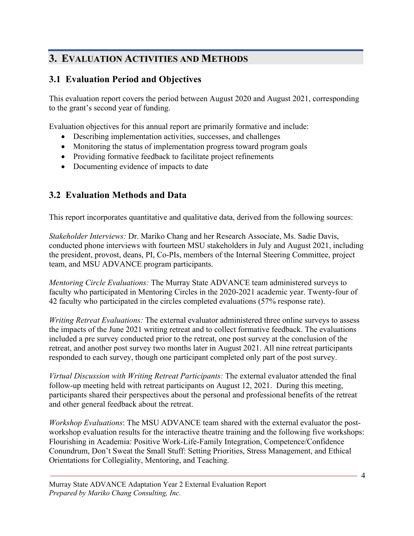# **3. EVALUATION ACTIVITIES AND METHODS**

## **3.1 Evaluation Period and Objectives**

This evaluation report covers the period between August 2020 and August 2021, corresponding to the grant's second year of funding.

Evaluation objectives for this annual report are primarily formative and include:

- Describing implementation activities, successes, and challenges
- Monitoring the status of implementation progress toward program goals
- Providing formative feedback to facilitate project refinements
- Documenting evidence of impacts to date

## **3.2 Evaluation Methods and Data**

This report incorporates quantitative and qualitative data, derived from the following sources:

*Stakeholder Interviews:* Dr. Mariko Chang and her Research Associate, Ms. Sadie Davis, conducted phone interviews with fourteen MSU stakeholders in July and August 2021, including the president, provost, deans, PI, Co-PIs, members of the Internal Steering Committee, project team, and MSU ADVANCE program participants.

*Mentoring Circle Evaluations:* The Murray State ADVANCE team administered surveys to faculty who participated in Mentoring Circles in the 2020-2021 academic year. Twenty-four of 42 faculty who participated in the circles completed evaluations (57% response rate).

*Writing Retreat Evaluations:* The external evaluator administered three online surveys to assess the impacts of the June 2021 writing retreat and to collect formative feedback. The evaluations included a pre survey conducted prior to the retreat, one post survey at the conclusion of the retreat, and another post survey two months later in August 2021. All nine retreat participants responded to each survey, though one participant completed only part of the post survey.

*Virtual Discussion with Writing Retreat Participants:* The external evaluator attended the final follow-up meeting held with retreat participants on August 12, 2021. During this meeting, participants shared their perspectives about the personal and professional benefits of the retreat and other general feedback about the retreat.

*Workshop Evaluations*: The MSU ADVANCE team shared with the external evaluator the postworkshop evaluation results for the interactive theatre training and the following five workshops: Flourishing in Academia: Positive Work-Life-Family Integration, Competence/Confidence Conundrum, Don't Sweat the Small Stuff: Setting Priorities, Stress Management, and Ethical Orientations for Collegiality, Mentoring, and Teaching.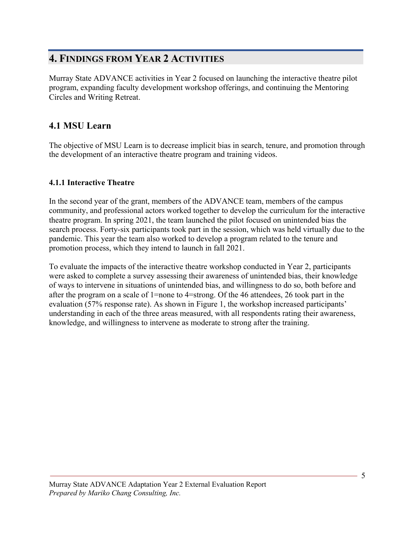## **4. FINDINGS FROM YEAR 2 ACTIVITIES**

Murray State ADVANCE activities in Year 2 focused on launching the interactive theatre pilot program, expanding faculty development workshop offerings, and continuing the Mentoring Circles and Writing Retreat.

## **4.1 MSU Learn**

The objective of MSU Learn is to decrease implicit bias in search, tenure, and promotion through the development of an interactive theatre program and training videos.

## **4.1.1 Interactive Theatre**

In the second year of the grant, members of the ADVANCE team, members of the campus community, and professional actors worked together to develop the curriculum for the interactive theatre program. In spring 2021, the team launched the pilot focused on unintended bias the search process. Forty-six participants took part in the session, which was held virtually due to the pandemic. This year the team also worked to develop a program related to the tenure and promotion process, which they intend to launch in fall 2021.

To evaluate the impacts of the interactive theatre workshop conducted in Year 2, participants were asked to complete a survey assessing their awareness of unintended bias, their knowledge of ways to intervene in situations of unintended bias, and willingness to do so, both before and after the program on a scale of 1=none to 4=strong. Of the 46 attendees, 26 took part in the evaluation (57% response rate). As shown in Figure 1, the workshop increased participants' understanding in each of the three areas measured, with all respondents rating their awareness, knowledge, and willingness to intervene as moderate to strong after the training.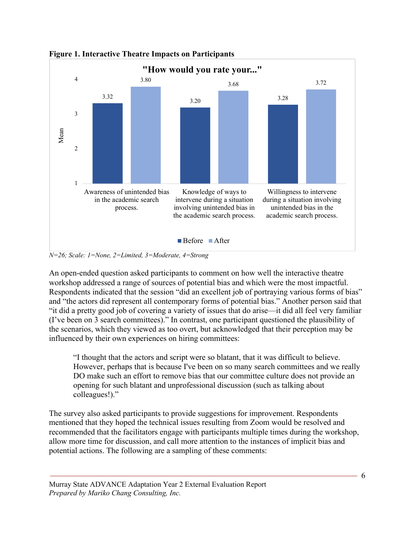

**Figure 1. Interactive Theatre Impacts on Participants**

*N=26; Scale: 1=None, 2=Limited, 3=Moderate, 4=Strong*

An open-ended question asked participants to comment on how well the interactive theatre workshop addressed a range of sources of potential bias and which were the most impactful. Respondents indicated that the session "did an excellent job of portraying various forms of bias" and "the actors did represent all contemporary forms of potential bias." Another person said that "it did a pretty good job of covering a variety of issues that do arise—it did all feel very familiar (I've been on 3 search committees)." In contrast, one participant questioned the plausibility of the scenarios, which they viewed as too overt, but acknowledged that their perception may be influenced by their own experiences on hiring committees:

"I thought that the actors and script were so blatant, that it was difficult to believe. However, perhaps that is because I've been on so many search committees and we really DO make such an effort to remove bias that our committee culture does not provide an opening for such blatant and unprofessional discussion (such as talking about colleagues!)."

The survey also asked participants to provide suggestions for improvement. Respondents mentioned that they hoped the technical issues resulting from Zoom would be resolved and recommended that the facilitators engage with participants multiple times during the workshop, allow more time for discussion, and call more attention to the instances of implicit bias and potential actions. The following are a sampling of these comments: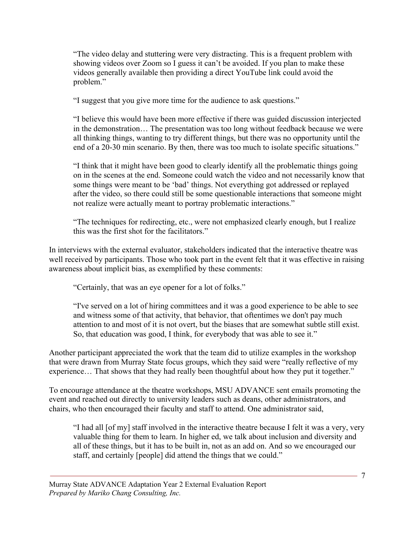"The video delay and stuttering were very distracting. This is a frequent problem with showing videos over Zoom so I guess it can't be avoided. If you plan to make these videos generally available then providing a direct YouTube link could avoid the problem."

"I suggest that you give more time for the audience to ask questions."

"I believe this would have been more effective if there was guided discussion interjected in the demonstration… The presentation was too long without feedback because we were all thinking things, wanting to try different things, but there was no opportunity until the end of a 20-30 min scenario. By then, there was too much to isolate specific situations."

"I think that it might have been good to clearly identify all the problematic things going on in the scenes at the end. Someone could watch the video and not necessarily know that some things were meant to be 'bad' things. Not everything got addressed or replayed after the video, so there could still be some questionable interactions that someone might not realize were actually meant to portray problematic interactions."

"The techniques for redirecting, etc., were not emphasized clearly enough, but I realize this was the first shot for the facilitators."

In interviews with the external evaluator, stakeholders indicated that the interactive theatre was well received by participants. Those who took part in the event felt that it was effective in raising awareness about implicit bias, as exemplified by these comments:

"Certainly, that was an eye opener for a lot of folks."

"I've served on a lot of hiring committees and it was a good experience to be able to see and witness some of that activity, that behavior, that oftentimes we don't pay much attention to and most of it is not overt, but the biases that are somewhat subtle still exist. So, that education was good, I think, for everybody that was able to see it."

Another participant appreciated the work that the team did to utilize examples in the workshop that were drawn from Murray State focus groups, which they said were "really reflective of my experience… That shows that they had really been thoughtful about how they put it together."

To encourage attendance at the theatre workshops, MSU ADVANCE sent emails promoting the event and reached out directly to university leaders such as deans, other administrators, and chairs, who then encouraged their faculty and staff to attend. One administrator said,

"I had all [of my] staff involved in the interactive theatre because I felt it was a very, very valuable thing for them to learn. In higher ed, we talk about inclusion and diversity and all of these things, but it has to be built in, not as an add on. And so we encouraged our staff, and certainly [people] did attend the things that we could."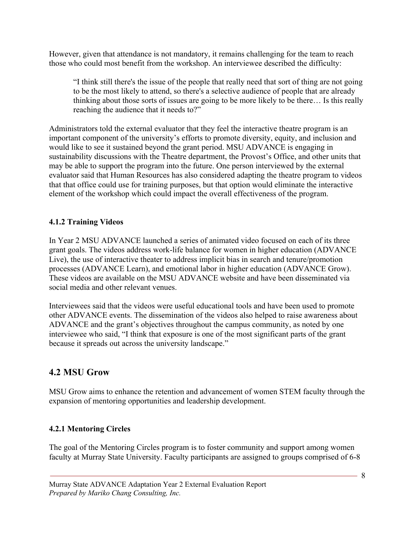However, given that attendance is not mandatory, it remains challenging for the team to reach those who could most benefit from the workshop. An interviewee described the difficulty:

"I think still there's the issue of the people that really need that sort of thing are not going to be the most likely to attend, so there's a selective audience of people that are already thinking about those sorts of issues are going to be more likely to be there… Is this really reaching the audience that it needs to?"

Administrators told the external evaluator that they feel the interactive theatre program is an important component of the university's efforts to promote diversity, equity, and inclusion and would like to see it sustained beyond the grant period. MSU ADVANCE is engaging in sustainability discussions with the Theatre department, the Provost's Office, and other units that may be able to support the program into the future. One person interviewed by the external evaluator said that Human Resources has also considered adapting the theatre program to videos that that office could use for training purposes, but that option would eliminate the interactive element of the workshop which could impact the overall effectiveness of the program.

## **4.1.2 Training Videos**

In Year 2 MSU ADVANCE launched a series of animated video focused on each of its three grant goals. The videos address work-life balance for women in higher education (ADVANCE Live), the use of interactive theater to address implicit bias in search and tenure/promotion processes (ADVANCE Learn), and emotional labor in higher education (ADVANCE Grow). These videos are available on the MSU ADVANCE website and have been disseminated via social media and other relevant venues.

Interviewees said that the videos were useful educational tools and have been used to promote other ADVANCE events. The dissemination of the videos also helped to raise awareness about ADVANCE and the grant's objectives throughout the campus community, as noted by one interviewee who said, "I think that exposure is one of the most significant parts of the grant because it spreads out across the university landscape."

## **4.2 MSU Grow**

MSU Grow aims to enhance the retention and advancement of women STEM faculty through the expansion of mentoring opportunities and leadership development.

## **4.2.1 Mentoring Circles**

The goal of the Mentoring Circles program is to foster community and support among women faculty at Murray State University. Faculty participants are assigned to groups comprised of 6-8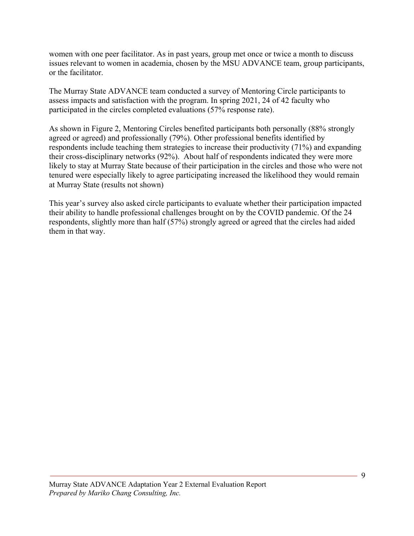women with one peer facilitator. As in past years, group met once or twice a month to discuss issues relevant to women in academia, chosen by the MSU ADVANCE team, group participants, or the facilitator.

The Murray State ADVANCE team conducted a survey of Mentoring Circle participants to assess impacts and satisfaction with the program. In spring 2021, 24 of 42 faculty who participated in the circles completed evaluations (57% response rate).

As shown in Figure 2, Mentoring Circles benefited participants both personally (88% strongly agreed or agreed) and professionally (79%). Other professional benefits identified by respondents include teaching them strategies to increase their productivity (71%) and expanding their cross-disciplinary networks (92%). About half of respondents indicated they were more likely to stay at Murray State because of their participation in the circles and those who were not tenured were especially likely to agree participating increased the likelihood they would remain at Murray State (results not shown)

This year's survey also asked circle participants to evaluate whether their participation impacted their ability to handle professional challenges brought on by the COVID pandemic. Of the 24 respondents, slightly more than half (57%) strongly agreed or agreed that the circles had aided them in that way.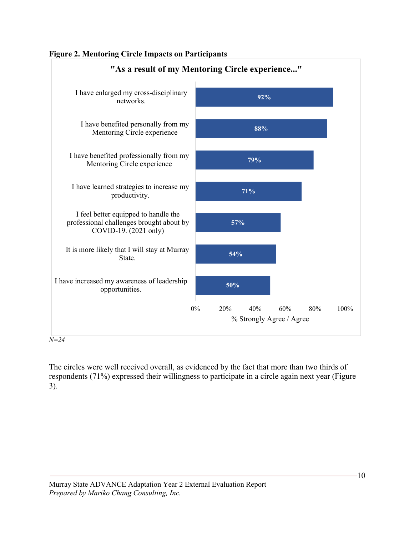



*N=24*

The circles were well received overall, as evidenced by the fact that more than two thirds of respondents (71%) expressed their willingness to participate in a circle again next year (Figure 3).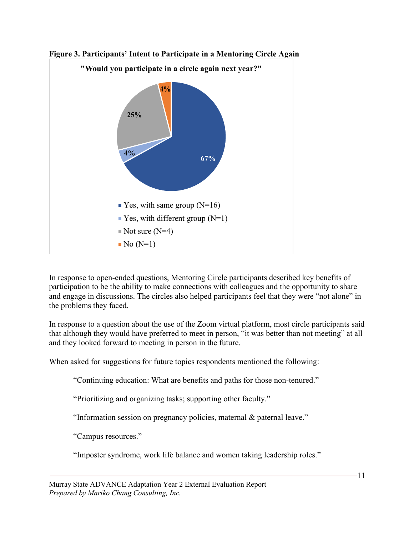



In response to open-ended questions, Mentoring Circle participants described key benefits of participation to be the ability to make connections with colleagues and the opportunity to share and engage in discussions. The circles also helped participants feel that they were "not alone" in the problems they faced.

In response to a question about the use of the Zoom virtual platform, most circle participants said that although they would have preferred to meet in person, "it was better than not meeting" at all and they looked forward to meeting in person in the future.

When asked for suggestions for future topics respondents mentioned the following:

"Continuing education: What are benefits and paths for those non-tenured."

"Prioritizing and organizing tasks; supporting other faculty."

"Information session on pregnancy policies, maternal & paternal leave."

"Campus resources."

"Imposter syndrome, work life balance and women taking leadership roles."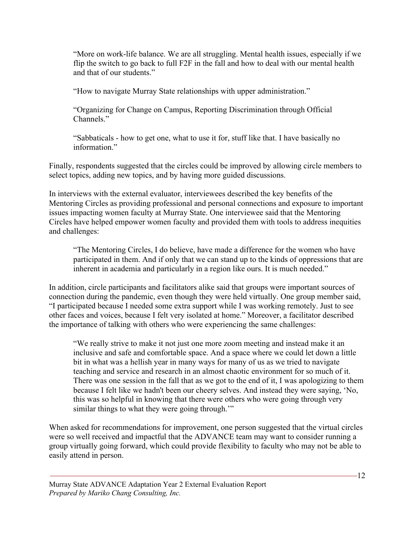"More on work-life balance. We are all struggling. Mental health issues, especially if we flip the switch to go back to full F2F in the fall and how to deal with our mental health and that of our students."

"How to navigate Murray State relationships with upper administration."

"Organizing for Change on Campus, Reporting Discrimination through Official Channels."

"Sabbaticals - how to get one, what to use it for, stuff like that. I have basically no information."

Finally, respondents suggested that the circles could be improved by allowing circle members to select topics, adding new topics, and by having more guided discussions.

In interviews with the external evaluator, interviewees described the key benefits of the Mentoring Circles as providing professional and personal connections and exposure to important issues impacting women faculty at Murray State. One interviewee said that the Mentoring Circles have helped empower women faculty and provided them with tools to address inequities and challenges:

"The Mentoring Circles, I do believe, have made a difference for the women who have participated in them. And if only that we can stand up to the kinds of oppressions that are inherent in academia and particularly in a region like ours. It is much needed."

In addition, circle participants and facilitators alike said that groups were important sources of connection during the pandemic, even though they were held virtually. One group member said, "I participated because I needed some extra support while I was working remotely. Just to see other faces and voices, because I felt very isolated at home." Moreover, a facilitator described the importance of talking with others who were experiencing the same challenges:

"We really strive to make it not just one more zoom meeting and instead make it an inclusive and safe and comfortable space. And a space where we could let down a little bit in what was a hellish year in many ways for many of us as we tried to navigate teaching and service and research in an almost chaotic environment for so much of it. There was one session in the fall that as we got to the end of it, I was apologizing to them because I felt like we hadn't been our cheery selves. And instead they were saying, 'No, this was so helpful in knowing that there were others who were going through very similar things to what they were going through."

When asked for recommendations for improvement, one person suggested that the virtual circles were so well received and impactful that the ADVANCE team may want to consider running a group virtually going forward, which could provide flexibility to faculty who may not be able to easily attend in person.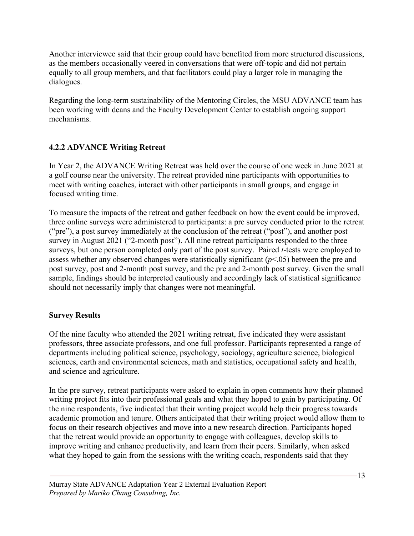Another interviewee said that their group could have benefited from more structured discussions, as the members occasionally veered in conversations that were off-topic and did not pertain equally to all group members, and that facilitators could play a larger role in managing the dialogues.

Regarding the long-term sustainability of the Mentoring Circles, the MSU ADVANCE team has been working with deans and the Faculty Development Center to establish ongoing support mechanisms.

## **4.2.2 ADVANCE Writing Retreat**

In Year 2, the ADVANCE Writing Retreat was held over the course of one week in June 2021 at a golf course near the university. The retreat provided nine participants with opportunities to meet with writing coaches, interact with other participants in small groups, and engage in focused writing time.

To measure the impacts of the retreat and gather feedback on how the event could be improved, three online surveys were administered to participants: a pre survey conducted prior to the retreat ("pre"), a post survey immediately at the conclusion of the retreat ("post"), and another post survey in August 2021 ("2-month post"). All nine retreat participants responded to the three surveys, but one person completed only part of the post survey. Paired *t-*tests were employed to assess whether any observed changes were statistically significant (*p*<.05) between the pre and post survey, post and 2-month post survey, and the pre and 2-month post survey. Given the small sample, findings should be interpreted cautiously and accordingly lack of statistical significance should not necessarily imply that changes were not meaningful.

### **Survey Results**

Of the nine faculty who attended the 2021 writing retreat, five indicated they were assistant professors, three associate professors, and one full professor. Participants represented a range of departments including political science, psychology, sociology, agriculture science, biological sciences, earth and environmental sciences, math and statistics, occupational safety and health, and science and agriculture.

In the pre survey, retreat participants were asked to explain in open comments how their planned writing project fits into their professional goals and what they hoped to gain by participating. Of the nine respondents, five indicated that their writing project would help their progress towards academic promotion and tenure. Others anticipated that their writing project would allow them to focus on their research objectives and move into a new research direction. Participants hoped that the retreat would provide an opportunity to engage with colleagues, develop skills to improve writing and enhance productivity, and learn from their peers. Similarly, when asked what they hoped to gain from the sessions with the writing coach, respondents said that they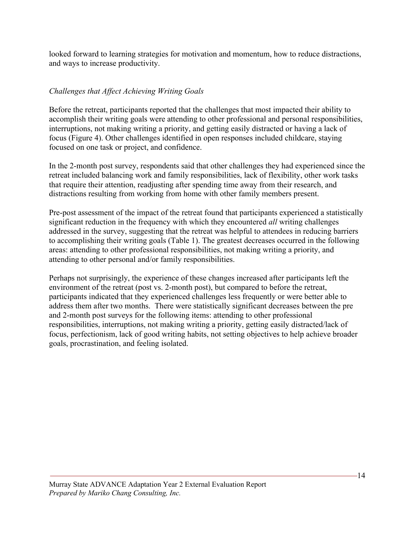looked forward to learning strategies for motivation and momentum, how to reduce distractions, and ways to increase productivity.

## *Challenges that Affect Achieving Writing Goals*

Before the retreat, participants reported that the challenges that most impacted their ability to accomplish their writing goals were attending to other professional and personal responsibilities, interruptions, not making writing a priority, and getting easily distracted or having a lack of focus (Figure 4). Other challenges identified in open responses included childcare, staying focused on one task or project, and confidence.

In the 2-month post survey, respondents said that other challenges they had experienced since the retreat included balancing work and family responsibilities, lack of flexibility, other work tasks that require their attention, readjusting after spending time away from their research, and distractions resulting from working from home with other family members present.

Pre-post assessment of the impact of the retreat found that participants experienced a statistically significant reduction in the frequency with which they encountered *all* writing challenges addressed in the survey, suggesting that the retreat was helpful to attendees in reducing barriers to accomplishing their writing goals (Table 1). The greatest decreases occurred in the following areas: attending to other professional responsibilities, not making writing a priority, and attending to other personal and/or family responsibilities.

Perhaps not surprisingly, the experience of these changes increased after participants left the environment of the retreat (post vs. 2-month post), but compared to before the retreat, participants indicated that they experienced challenges less frequently or were better able to address them after two months. There were statistically significant decreases between the pre and 2-month post surveys for the following items: attending to other professional responsibilities, interruptions, not making writing a priority, getting easily distracted/lack of focus, perfectionism, lack of good writing habits, not setting objectives to help achieve broader goals, procrastination, and feeling isolated.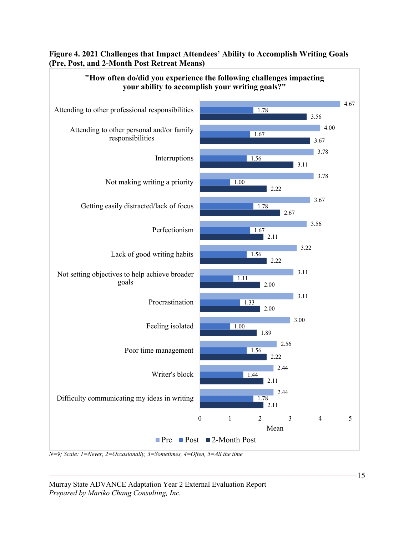#### **Figure 4. 2021 Challenges that Impact Attendees' Ability to Accomplish Writing Goals (Pre, Post, and 2-Month Post Retreat Means)**

**"How often do/did you experience the following challenges impacting** 



*N=9; Scale: 1=Never, 2=Occasionally, 3=Sometimes, 4=Often, 5=All the time*

Murray State ADVANCE Adaptation Year 2 External Evaluation Report *Prepared by Mariko Chang Consulting, Inc.*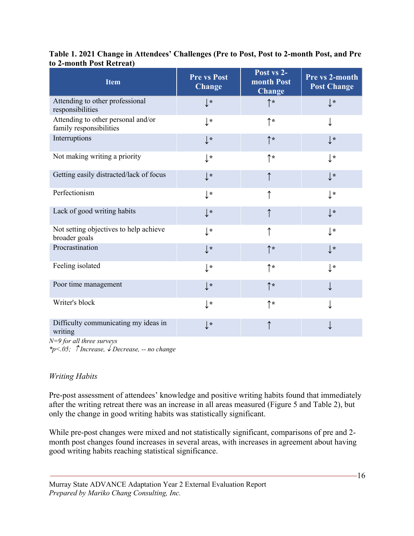| <b>Item</b>                                                   | <b>Pre vs Post</b><br><b>Change</b> | Post vs 2-<br>month Post<br><b>Change</b> | Pre vs 2-month<br><b>Post Change</b> |
|---------------------------------------------------------------|-------------------------------------|-------------------------------------------|--------------------------------------|
| Attending to other professional<br>responsibilities           | $\downarrow$ *                      | $\uparrow\star$                           | $\downarrow$ *                       |
| Attending to other personal and/or<br>family responsibilities | $\downarrow$ *                      | ↑∗                                        |                                      |
| Interruptions                                                 | $\downarrow$ *                      | ↑*                                        | $\downarrow$ *                       |
| Not making writing a priority                                 | $\downarrow$ *                      | ↑∗                                        | $\mathbf{r}$                         |
| Getting easily distracted/lack of focus                       | $\downarrow$ *                      |                                           | $\downarrow$ *                       |
| Perfectionism                                                 | $\downarrow$ *                      |                                           | $\downarrow$ *                       |
| Lack of good writing habits                                   | $\downarrow$ *                      |                                           | $\downarrow$ *                       |
| Not setting objectives to help achieve<br>broader goals       | $\downarrow$ *                      |                                           | $\downarrow$ *                       |
| Procrastination                                               | $\downarrow$ *                      | ↑∗                                        | $\downarrow$ *                       |
| Feeling isolated                                              | $\downarrow$ *                      | ↑∗                                        | $\downarrow$ *                       |
| Poor time management                                          | $\downarrow$ *                      | ↑*                                        |                                      |
| Writer's block                                                | $\downarrow$ *                      | ↑∗                                        |                                      |
| Difficulty communicating my ideas in<br>writing               | $\downarrow$ *                      |                                           |                                      |

#### **Table 1. 2021 Change in Attendees' Challenges (Pre to Post, Post to 2-month Post, and Pre to 2-month Post Retreat)**

*N=9 for all three surveys*

*\*p<.05; Increase,* ¯ *Decrease, -- no change*

### *Writing Habits*

Pre-post assessment of attendees' knowledge and positive writing habits found that immediately after the writing retreat there was an increase in all areas measured (Figure 5 and Table 2), but only the change in good writing habits was statistically significant.

While pre-post changes were mixed and not statistically significant, comparisons of pre and 2 month post changes found increases in several areas, with increases in agreement about having good writing habits reaching statistical significance.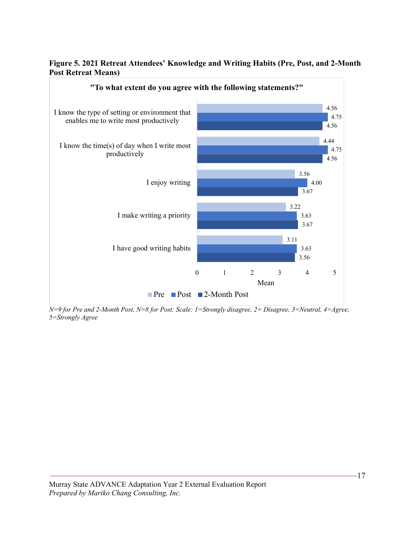#### **Figure 5. 2021 Retreat Attendees' Knowledge and Writing Habits (Pre, Post, and 2-Month Post Retreat Means)**



*N=9 for Pre and 2-Month Post, N=8 for Post; Scale: 1=Strongly disagree, 2= Disagree, 3=Neutral, 4=Agree, 5=Strongly Agree*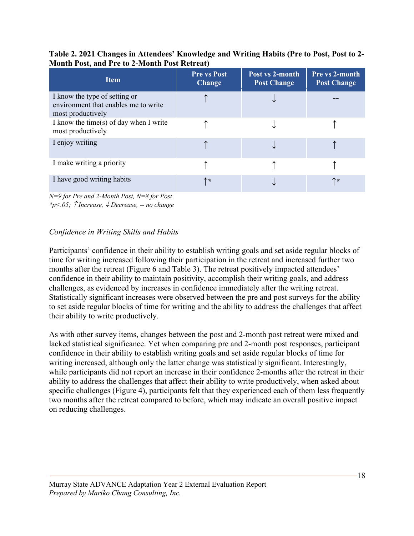| $\cdots$                                                                                   |                                     |                                       |                                             |  |  |
|--------------------------------------------------------------------------------------------|-------------------------------------|---------------------------------------|---------------------------------------------|--|--|
| <b>Item</b>                                                                                | <b>Pre vs Post</b><br><b>Change</b> | Post vs 2-month<br><b>Post Change</b> | <b>Pre vs 2-month</b><br><b>Post Change</b> |  |  |
| I know the type of setting or<br>environment that enables me to write<br>most productively |                                     |                                       |                                             |  |  |
| I know the time(s) of day when I write<br>most productively                                |                                     |                                       |                                             |  |  |
| I enjoy writing                                                                            |                                     |                                       |                                             |  |  |
| I make writing a priority                                                                  |                                     |                                       |                                             |  |  |
| I have good writing habits                                                                 | ኮ*                                  |                                       | ↑*                                          |  |  |

#### **Table 2. 2021 Changes in Attendees' Knowledge and Writing Habits (Pre to Post, Post to 2- Month Post, and Pre to 2-Month Post Retreat)**

*N=9 for Pre and 2-Month Post, N=8 for Post \*p<.05; Increase,* ¯ *Decrease, -- no change*

## *Confidence in Writing Skills and Habits*

Participants' confidence in their ability to establish writing goals and set aside regular blocks of time for writing increased following their participation in the retreat and increased further two months after the retreat (Figure 6 and Table 3). The retreat positively impacted attendees' confidence in their ability to maintain positivity, accomplish their writing goals, and address challenges, as evidenced by increases in confidence immediately after the writing retreat. Statistically significant increases were observed between the pre and post surveys for the ability to set aside regular blocks of time for writing and the ability to address the challenges that affect their ability to write productively.

As with other survey items, changes between the post and 2-month post retreat were mixed and lacked statistical significance. Yet when comparing pre and 2-month post responses, participant confidence in their ability to establish writing goals and set aside regular blocks of time for writing increased, although only the latter change was statistically significant. Interestingly, while participants did not report an increase in their confidence 2-months after the retreat in their ability to address the challenges that affect their ability to write productively, when asked about specific challenges (Figure 4), participants felt that they experienced each of them less frequently two months after the retreat compared to before, which may indicate an overall positive impact on reducing challenges.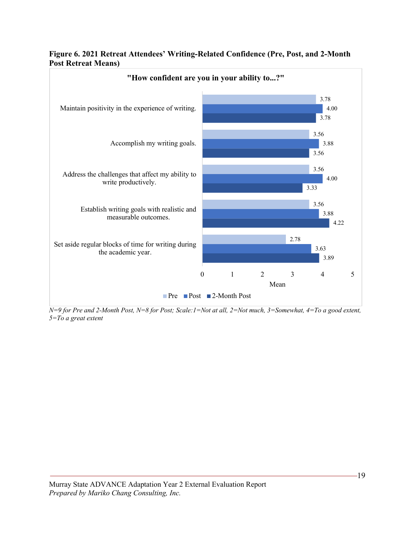



*N=9 for Pre and 2-Month Post, N=8 for Post; Scale:1=Not at all, 2=Not much, 3=Somewhat, 4=To a good extent, 5=To a great extent*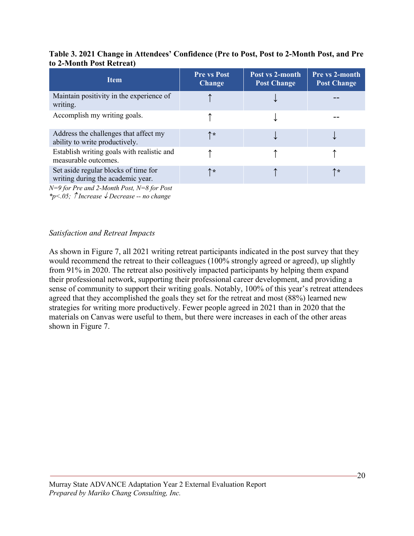#### **Table 3. 2021 Change in Attendees' Confidence (Pre to Post, Post to 2-Month Post, and Pre to 2-Month Post Retreat)**

| <b>Item</b>                                                                                                                              | <b>Pre vs Post</b><br><b>Change</b> | Post vs 2-month<br><b>Post Change</b> | Pre vs 2-month<br><b>Post Change</b> |
|------------------------------------------------------------------------------------------------------------------------------------------|-------------------------------------|---------------------------------------|--------------------------------------|
| Maintain positivity in the experience of<br>writing.                                                                                     |                                     |                                       |                                      |
| Accomplish my writing goals.                                                                                                             |                                     |                                       |                                      |
| Address the challenges that affect my<br>ability to write productively.                                                                  | ↑*                                  |                                       |                                      |
| Establish writing goals with realistic and<br>measurable outcomes.                                                                       |                                     |                                       |                                      |
| Set aside regular blocks of time for<br>writing during the academic year.<br>$\mathbf{u} \cdot \mathbf{v} = \mathbf{v} \cdot \mathbf{v}$ | ↑∗                                  |                                       | ↑∗                                   |

*N=9 for Pre and 2-Month Post, N=8 for Post*

*\*p*≤.05;  $\hat{\uparrow}$  *Increase* ↓ *Decrease* -- *no change* 

#### *Satisfaction and Retreat Impacts*

As shown in Figure 7, all 2021 writing retreat participants indicated in the post survey that they would recommend the retreat to their colleagues (100% strongly agreed or agreed), up slightly from 91% in 2020. The retreat also positively impacted participants by helping them expand their professional network, supporting their professional career development, and providing a sense of community to support their writing goals. Notably, 100% of this year's retreat attendees agreed that they accomplished the goals they set for the retreat and most (88%) learned new strategies for writing more productively. Fewer people agreed in 2021 than in 2020 that the materials on Canvas were useful to them, but there were increases in each of the other areas shown in Figure 7.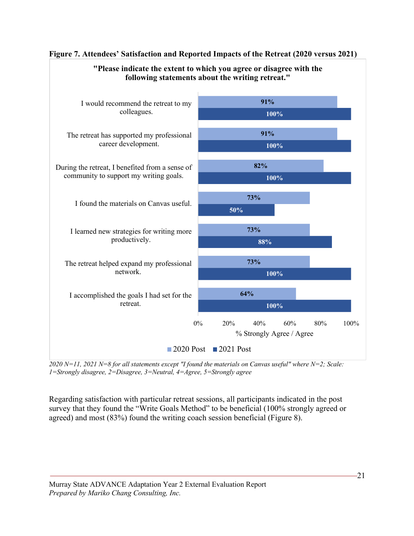

#### **Figure 7. Attendees' Satisfaction and Reported Impacts of the Retreat (2020 versus 2021)**

**"Please indicate the extent to which you agree or disagree with the** 

*2020 N=11, 2021 N=8 for all statements except "I found the materials on Canvas useful" where N=2; Scale: 1=Strongly disagree, 2=Disagree, 3=Neutral, 4=Agree, 5=Strongly agree*

Regarding satisfaction with particular retreat sessions, all participants indicated in the post survey that they found the "Write Goals Method" to be beneficial (100% strongly agreed or agreed) and most (83%) found the writing coach session beneficial (Figure 8).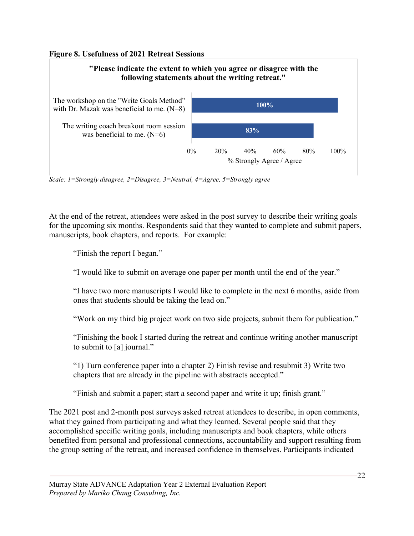#### **Figure 8. Usefulness of 2021 Retreat Sessions**



*Scale: 1=Strongly disagree, 2=Disagree, 3=Neutral, 4=Agree, 5=Strongly agree*

At the end of the retreat, attendees were asked in the post survey to describe their writing goals for the upcoming six months. Respondents said that they wanted to complete and submit papers, manuscripts, book chapters, and reports. For example:

"Finish the report I began."

"I would like to submit on average one paper per month until the end of the year."

"I have two more manuscripts I would like to complete in the next 6 months, aside from ones that students should be taking the lead on."

"Work on my third big project work on two side projects, submit them for publication."

"Finishing the book I started during the retreat and continue writing another manuscript to submit to [a] journal."

"1) Turn conference paper into a chapter 2) Finish revise and resubmit 3) Write two chapters that are already in the pipeline with abstracts accepted."

"Finish and submit a paper; start a second paper and write it up; finish grant."

The 2021 post and 2-month post surveys asked retreat attendees to describe, in open comments, what they gained from participating and what they learned. Several people said that they accomplished specific writing goals, including manuscripts and book chapters, while others benefited from personal and professional connections, accountability and support resulting from the group setting of the retreat, and increased confidence in themselves. Participants indicated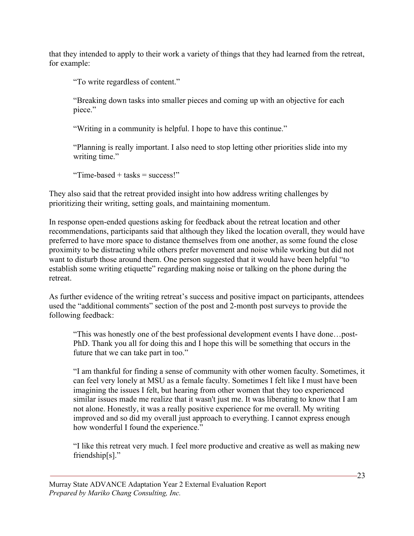that they intended to apply to their work a variety of things that they had learned from the retreat, for example:

"To write regardless of content."

"Breaking down tasks into smaller pieces and coming up with an objective for each piece."

"Writing in a community is helpful. I hope to have this continue."

"Planning is really important. I also need to stop letting other priorities slide into my writing time."

"Time-based + tasks = success!"

They also said that the retreat provided insight into how address writing challenges by prioritizing their writing, setting goals, and maintaining momentum.

In response open-ended questions asking for feedback about the retreat location and other recommendations, participants said that although they liked the location overall, they would have preferred to have more space to distance themselves from one another, as some found the close proximity to be distracting while others prefer movement and noise while working but did not want to disturb those around them. One person suggested that it would have been helpful "to establish some writing etiquette" regarding making noise or talking on the phone during the retreat.

As further evidence of the writing retreat's success and positive impact on participants, attendees used the "additional comments" section of the post and 2-month post surveys to provide the following feedback:

"This was honestly one of the best professional development events I have done…post-PhD. Thank you all for doing this and I hope this will be something that occurs in the future that we can take part in too."

"I am thankful for finding a sense of community with other women faculty. Sometimes, it can feel very lonely at MSU as a female faculty. Sometimes I felt like I must have been imagining the issues I felt, but hearing from other women that they too experienced similar issues made me realize that it wasn't just me. It was liberating to know that I am not alone. Honestly, it was a really positive experience for me overall. My writing improved and so did my overall just approach to everything. I cannot express enough how wonderful I found the experience."

"I like this retreat very much. I feel more productive and creative as well as making new friendship[s]."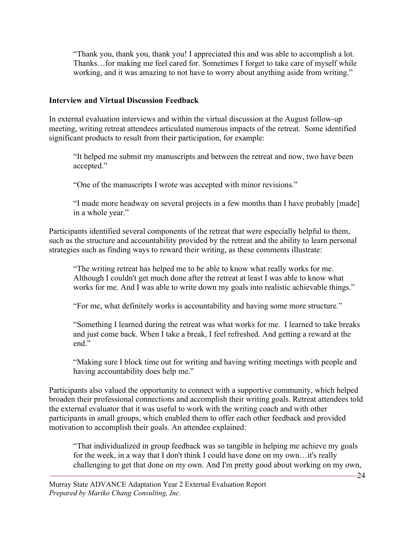"Thank you, thank you, thank you! I appreciated this and was able to accomplish a lot. Thanks…for making me feel cared for. Sometimes I forget to take care of myself while working, and it was amazing to not have to worry about anything aside from writing."

#### **Interview and Virtual Discussion Feedback**

In external evaluation interviews and within the virtual discussion at the August follow-up meeting, writing retreat attendees articulated numerous impacts of the retreat. Some identified significant products to result from their participation, for example:

"It helped me submit my manuscripts and between the retreat and now, two have been accepted."

"One of the manuscripts I wrote was accepted with minor revisions."

"I made more headway on several projects in a few months than I have probably [made] in a whole year."

Participants identified several components of the retreat that were especially helpful to them, such as the structure and accountability provided by the retreat and the ability to learn personal strategies such as finding ways to reward their writing, as these comments illustrate:

"The writing retreat has helped me to be able to know what really works for me. Although I couldn't get much done after the retreat at least I was able to know what works for me. And I was able to write down my goals into realistic achievable things."

"For me, what definitely works is accountability and having some more structure."

"Something I learned during the retreat was what works for me. I learned to take breaks and just come back. When I take a break, I feel refreshed. And getting a reward at the end."

"Making sure I block time out for writing and having writing meetings with people and having accountability does help me."

Participants also valued the opportunity to connect with a supportive community, which helped broaden their professional connections and accomplish their writing goals. Retreat attendees told the external evaluator that it was useful to work with the writing coach and with other participants in small groups, which enabled them to offer each other feedback and provided motivation to accomplish their goals. An attendee explained:

"That individualized in group feedback was so tangible in helping me achieve my goals for the week, in a way that I don't think I could have done on my own…it's really challenging to get that done on my own. And I'm pretty good about working on my own,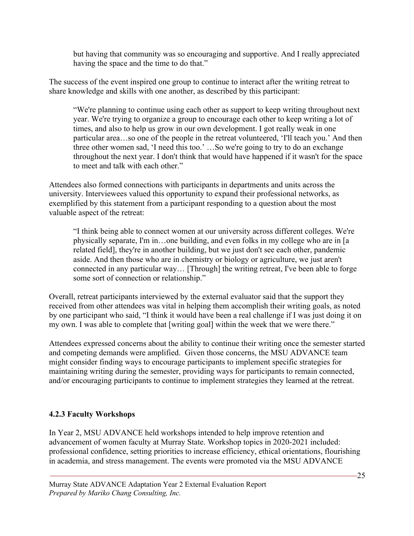but having that community was so encouraging and supportive. And I really appreciated having the space and the time to do that."

The success of the event inspired one group to continue to interact after the writing retreat to share knowledge and skills with one another, as described by this participant:

"We're planning to continue using each other as support to keep writing throughout next year. We're trying to organize a group to encourage each other to keep writing a lot of times, and also to help us grow in our own development. I got really weak in one particular area…so one of the people in the retreat volunteered, 'I'll teach you.' And then three other women sad, 'I need this too.' …So we're going to try to do an exchange throughout the next year. I don't think that would have happened if it wasn't for the space to meet and talk with each other."

Attendees also formed connections with participants in departments and units across the university. Interviewees valued this opportunity to expand their professional networks, as exemplified by this statement from a participant responding to a question about the most valuable aspect of the retreat:

"I think being able to connect women at our university across different colleges. We're physically separate, I'm in…one building, and even folks in my college who are in [a related field], they're in another building, but we just don't see each other, pandemic aside. And then those who are in chemistry or biology or agriculture, we just aren't connected in any particular way… [Through] the writing retreat, I've been able to forge some sort of connection or relationship."

Overall, retreat participants interviewed by the external evaluator said that the support they received from other attendees was vital in helping them accomplish their writing goals, as noted by one participant who said, "I think it would have been a real challenge if I was just doing it on my own. I was able to complete that [writing goal] within the week that we were there."

Attendees expressed concerns about the ability to continue their writing once the semester started and competing demands were amplified. Given those concerns, the MSU ADVANCE team might consider finding ways to encourage participants to implement specific strategies for maintaining writing during the semester, providing ways for participants to remain connected, and/or encouraging participants to continue to implement strategies they learned at the retreat.

## **4.2.3 Faculty Workshops**

In Year 2, MSU ADVANCE held workshops intended to help improve retention and advancement of women faculty at Murray State. Workshop topics in 2020-2021 included: professional confidence, setting priorities to increase efficiency, ethical orientations, flourishing in academia, and stress management. The events were promoted via the MSU ADVANCE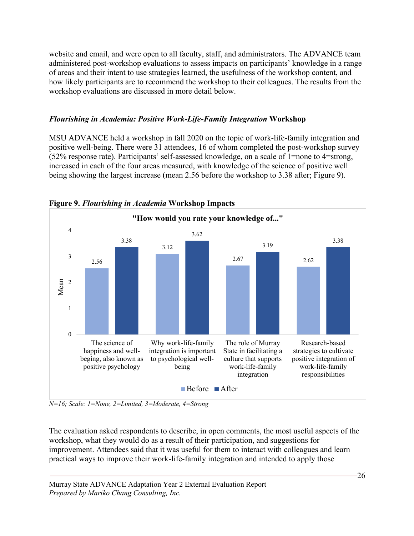website and email, and were open to all faculty, staff, and administrators. The ADVANCE team administered post-workshop evaluations to assess impacts on participants' knowledge in a range of areas and their intent to use strategies learned, the usefulness of the workshop content, and how likely participants are to recommend the workshop to their colleagues. The results from the workshop evaluations are discussed in more detail below.

### *Flourishing in Academia: Positive Work-Life-Family Integration* **Workshop**

MSU ADVANCE held a workshop in fall 2020 on the topic of work-life-family integration and positive well-being. There were 31 attendees, 16 of whom completed the post-workshop survey (52% response rate). Participants' self-assessed knowledge, on a scale of 1=none to 4=strong, increased in each of the four areas measured, with knowledge of the science of positive well being showing the largest increase (mean 2.56 before the workshop to 3.38 after; Figure 9).



**Figure 9.** *Flourishing in Academia* **Workshop Impacts**

*N=16; Scale: 1=None, 2=Limited, 3=Moderate, 4=Strong*

The evaluation asked respondents to describe, in open comments, the most useful aspects of the workshop, what they would do as a result of their participation, and suggestions for improvement. Attendees said that it was useful for them to interact with colleagues and learn practical ways to improve their work-life-family integration and intended to apply those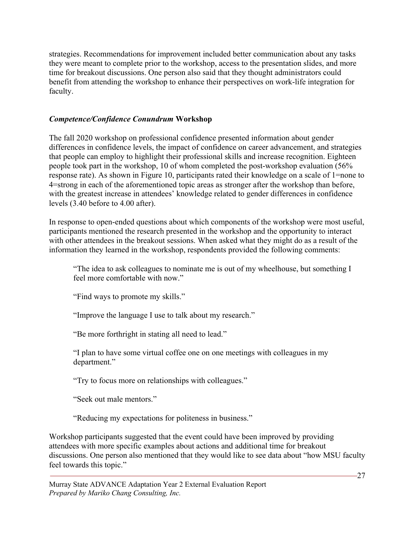strategies. Recommendations for improvement included better communication about any tasks they were meant to complete prior to the workshop, access to the presentation slides, and more time for breakout discussions. One person also said that they thought administrators could benefit from attending the workshop to enhance their perspectives on work-life integration for faculty.

#### *Competence/Confidence Conundrum* **Workshop**

The fall 2020 workshop on professional confidence presented information about gender differences in confidence levels, the impact of confidence on career advancement, and strategies that people can employ to highlight their professional skills and increase recognition. Eighteen people took part in the workshop, 10 of whom completed the post-workshop evaluation (56% response rate). As shown in Figure 10, participants rated their knowledge on a scale of 1=none to 4=strong in each of the aforementioned topic areas as stronger after the workshop than before, with the greatest increase in attendees' knowledge related to gender differences in confidence levels (3.40 before to 4.00 after).

In response to open-ended questions about which components of the workshop were most useful, participants mentioned the research presented in the workshop and the opportunity to interact with other attendees in the breakout sessions. When asked what they might do as a result of the information they learned in the workshop, respondents provided the following comments:

"The idea to ask colleagues to nominate me is out of my wheelhouse, but something I feel more comfortable with now."

"Find ways to promote my skills."

"Improve the language I use to talk about my research."

"Be more forthright in stating all need to lead."

"I plan to have some virtual coffee one on one meetings with colleagues in my department."

"Try to focus more on relationships with colleagues."

"Seek out male mentors."

"Reducing my expectations for politeness in business."

Workshop participants suggested that the event could have been improved by providing attendees with more specific examples about actions and additional time for breakout discussions. One person also mentioned that they would like to see data about "how MSU faculty feel towards this topic."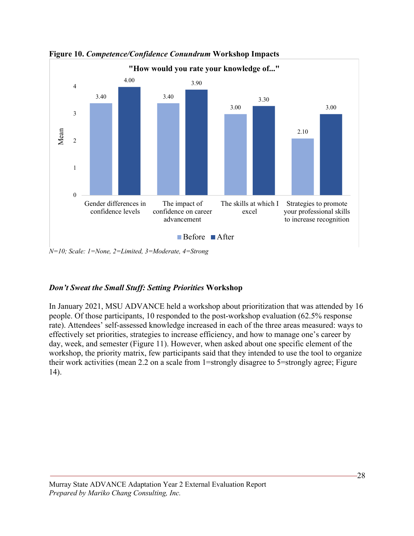

**Figure 10.** *Competence/Confidence Conundrum* **Workshop Impacts**

*N=10; Scale: 1=None, 2=Limited, 3=Moderate, 4=Strong*

### *Don't Sweat the Small Stuff: Setting Priorities* **Workshop**

In January 2021, MSU ADVANCE held a workshop about prioritization that was attended by 16 people. Of those participants, 10 responded to the post-workshop evaluation (62.5% response rate). Attendees' self-assessed knowledge increased in each of the three areas measured: ways to effectively set priorities, strategies to increase efficiency, and how to manage one's career by day, week, and semester (Figure 11). However, when asked about one specific element of the workshop, the priority matrix, few participants said that they intended to use the tool to organize their work activities (mean 2.2 on a scale from 1=strongly disagree to 5=strongly agree; Figure 14).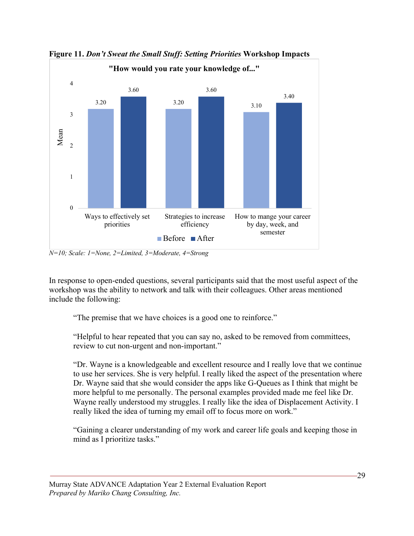

**Figure 11.** *Don't Sweat the Small Stuff: Setting Priorities* **Workshop Impacts**

*N=10; Scale: 1=None, 2=Limited, 3=Moderate, 4=Strong*

In response to open-ended questions, several participants said that the most useful aspect of the workshop was the ability to network and talk with their colleagues. Other areas mentioned include the following:

"The premise that we have choices is a good one to reinforce."

"Helpful to hear repeated that you can say no, asked to be removed from committees, review to cut non-urgent and non-important."

"Dr. Wayne is a knowledgeable and excellent resource and I really love that we continue to use her services. She is very helpful. I really liked the aspect of the presentation where Dr. Wayne said that she would consider the apps like G-Queues as I think that might be more helpful to me personally. The personal examples provided made me feel like Dr. Wayne really understood my struggles. I really like the idea of Displacement Activity. I really liked the idea of turning my email off to focus more on work."

"Gaining a clearer understanding of my work and career life goals and keeping those in mind as I prioritize tasks."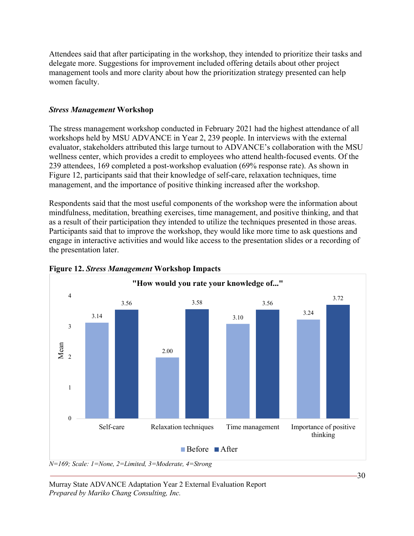Attendees said that after participating in the workshop, they intended to prioritize their tasks and delegate more. Suggestions for improvement included offering details about other project management tools and more clarity about how the prioritization strategy presented can help women faculty.

#### *Stress Management* **Workshop**

The stress management workshop conducted in February 2021 had the highest attendance of all workshops held by MSU ADVANCE in Year 2, 239 people. In interviews with the external evaluator, stakeholders attributed this large turnout to ADVANCE's collaboration with the MSU wellness center, which provides a credit to employees who attend health-focused events. Of the 239 attendees, 169 completed a post-workshop evaluation (69% response rate). As shown in Figure 12, participants said that their knowledge of self-care, relaxation techniques, time management, and the importance of positive thinking increased after the workshop.

Respondents said that the most useful components of the workshop were the information about mindfulness, meditation, breathing exercises, time management, and positive thinking, and that as a result of their participation they intended to utilize the techniques presented in those areas. Participants said that to improve the workshop, they would like more time to ask questions and engage in interactive activities and would like access to the presentation slides or a recording of the presentation later.



#### **Figure 12.** *Stress Management* **Workshop Impacts**

*N=169; Scale: 1=None, 2=Limited, 3=Moderate, 4=Strong*

Murray State ADVANCE Adaptation Year 2 External Evaluation Report *Prepared by Mariko Chang Consulting, Inc.*

30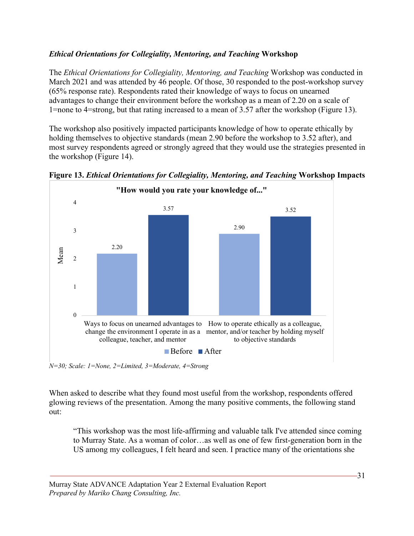## *Ethical Orientations for Collegiality, Mentoring, and Teaching* **Workshop**

The *Ethical Orientations for Collegiality, Mentoring, and Teaching* Workshop was conducted in March 2021 and was attended by 46 people. Of those, 30 responded to the post-workshop survey (65% response rate). Respondents rated their knowledge of ways to focus on unearned advantages to change their environment before the workshop as a mean of 2.20 on a scale of 1=none to 4=strong, but that rating increased to a mean of 3.57 after the workshop (Figure 13).

The workshop also positively impacted participants knowledge of how to operate ethically by holding themselves to objective standards (mean 2.90 before the workshop to 3.52 after), and most survey respondents agreed or strongly agreed that they would use the strategies presented in the workshop (Figure 14).





*N=30; Scale: 1=None, 2=Limited, 3=Moderate, 4=Strong*

When asked to describe what they found most useful from the workshop, respondents offered glowing reviews of the presentation. Among the many positive comments, the following stand out:

"This workshop was the most life-affirming and valuable talk I've attended since coming to Murray State. As a woman of color…as well as one of few first-generation born in the US among my colleagues, I felt heard and seen. I practice many of the orientations she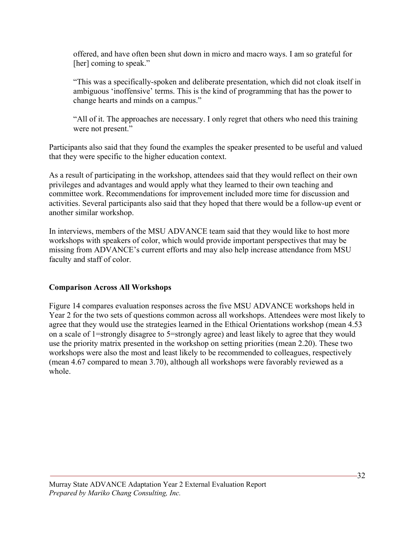offered, and have often been shut down in micro and macro ways. I am so grateful for [her] coming to speak."

"This was a specifically-spoken and deliberate presentation, which did not cloak itself in ambiguous 'inoffensive' terms. This is the kind of programming that has the power to change hearts and minds on a campus."

"All of it. The approaches are necessary. I only regret that others who need this training were not present."

Participants also said that they found the examples the speaker presented to be useful and valued that they were specific to the higher education context.

As a result of participating in the workshop, attendees said that they would reflect on their own privileges and advantages and would apply what they learned to their own teaching and committee work. Recommendations for improvement included more time for discussion and activities. Several participants also said that they hoped that there would be a follow-up event or another similar workshop.

In interviews, members of the MSU ADVANCE team said that they would like to host more workshops with speakers of color, which would provide important perspectives that may be missing from ADVANCE's current efforts and may also help increase attendance from MSU faculty and staff of color.

### **Comparison Across All Workshops**

Figure 14 compares evaluation responses across the five MSU ADVANCE workshops held in Year 2 for the two sets of questions common across all workshops. Attendees were most likely to agree that they would use the strategies learned in the Ethical Orientations workshop (mean 4.53 on a scale of 1=strongly disagree to 5=strongly agree) and least likely to agree that they would use the priority matrix presented in the workshop on setting priorities (mean 2.20). These two workshops were also the most and least likely to be recommended to colleagues, respectively (mean 4.67 compared to mean 3.70), although all workshops were favorably reviewed as a whole.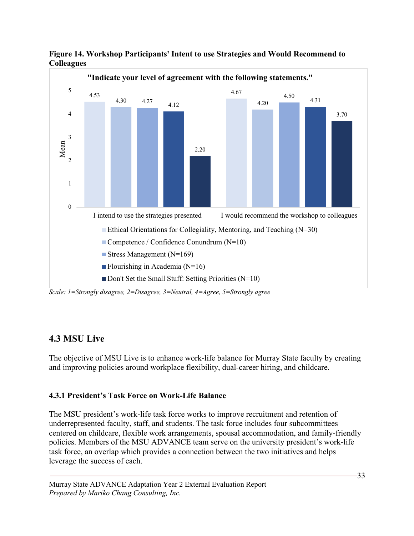

**Figure 14. Workshop Participants' Intent to use Strategies and Would Recommend to Colleagues**

*Scale: 1=Strongly disagree, 2=Disagree, 3=Neutral, 4=Agree, 5=Strongly agree*

## **4.3 MSU Live**

The objective of MSU Live is to enhance work-life balance for Murray State faculty by creating and improving policies around workplace flexibility, dual-career hiring, and childcare.

### **4.3.1 President's Task Force on Work-Life Balance**

The MSU president's work-life task force works to improve recruitment and retention of underrepresented faculty, staff, and students. The task force includes four subcommittees centered on childcare, flexible work arrangements, spousal accommodation, and family-friendly policies. Members of the MSU ADVANCE team serve on the university president's work-life task force, an overlap which provides a connection between the two initiatives and helps leverage the success of each.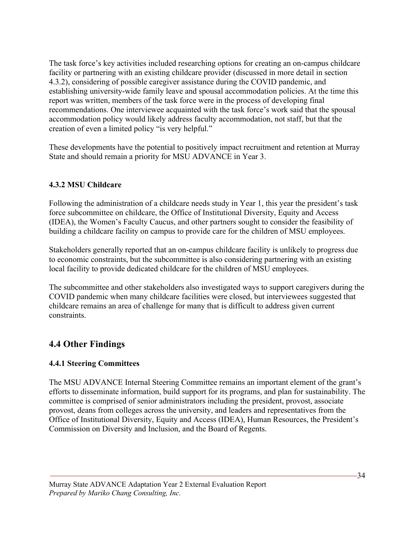The task force's key activities included researching options for creating an on-campus childcare facility or partnering with an existing childcare provider (discussed in more detail in section 4.3.2), considering of possible caregiver assistance during the COVID pandemic, and establishing university-wide family leave and spousal accommodation policies. At the time this report was written, members of the task force were in the process of developing final recommendations. One interviewee acquainted with the task force's work said that the spousal accommodation policy would likely address faculty accommodation, not staff, but that the creation of even a limited policy "is very helpful."

These developments have the potential to positively impact recruitment and retention at Murray State and should remain a priority for MSU ADVANCE in Year 3.

### **4.3.2 MSU Childcare**

Following the administration of a childcare needs study in Year 1, this year the president's task force subcommittee on childcare, the Office of Institutional Diversity, Equity and Access (IDEA), the Women's Faculty Caucus, and other partners sought to consider the feasibility of building a childcare facility on campus to provide care for the children of MSU employees.

Stakeholders generally reported that an on-campus childcare facility is unlikely to progress due to economic constraints, but the subcommittee is also considering partnering with an existing local facility to provide dedicated childcare for the children of MSU employees.

The subcommittee and other stakeholders also investigated ways to support caregivers during the COVID pandemic when many childcare facilities were closed, but interviewees suggested that childcare remains an area of challenge for many that is difficult to address given current constraints.

## **4.4 Other Findings**

## **4.4.1 Steering Committees**

The MSU ADVANCE Internal Steering Committee remains an important element of the grant's efforts to disseminate information, build support for its programs, and plan for sustainability. The committee is comprised of senior administrators including the president, provost, associate provost, deans from colleges across the university, and leaders and representatives from the Office of Institutional Diversity, Equity and Access (IDEA), Human Resources, the President's Commission on Diversity and Inclusion, and the Board of Regents.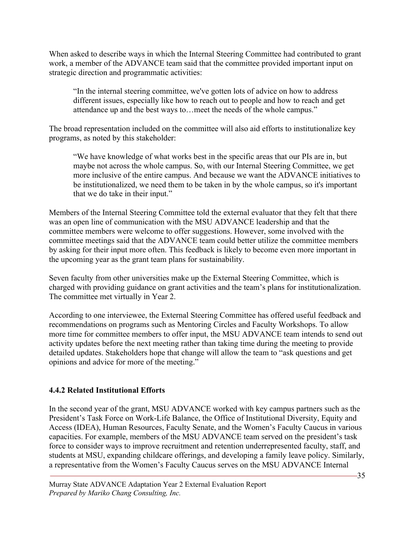When asked to describe ways in which the Internal Steering Committee had contributed to grant work, a member of the ADVANCE team said that the committee provided important input on strategic direction and programmatic activities:

"In the internal steering committee, we've gotten lots of advice on how to address different issues, especially like how to reach out to people and how to reach and get attendance up and the best ways to…meet the needs of the whole campus."

The broad representation included on the committee will also aid efforts to institutionalize key programs, as noted by this stakeholder:

"We have knowledge of what works best in the specific areas that our PIs are in, but maybe not across the whole campus. So, with our Internal Steering Committee, we get more inclusive of the entire campus. And because we want the ADVANCE initiatives to be institutionalized, we need them to be taken in by the whole campus, so it's important that we do take in their input."

Members of the Internal Steering Committee told the external evaluator that they felt that there was an open line of communication with the MSU ADVANCE leadership and that the committee members were welcome to offer suggestions. However, some involved with the committee meetings said that the ADVANCE team could better utilize the committee members by asking for their input more often. This feedback is likely to become even more important in the upcoming year as the grant team plans for sustainability.

Seven faculty from other universities make up the External Steering Committee, which is charged with providing guidance on grant activities and the team's plans for institutionalization. The committee met virtually in Year 2.

According to one interviewee, the External Steering Committee has offered useful feedback and recommendations on programs such as Mentoring Circles and Faculty Workshops. To allow more time for committee members to offer input, the MSU ADVANCE team intends to send out activity updates before the next meeting rather than taking time during the meeting to provide detailed updates. Stakeholders hope that change will allow the team to "ask questions and get opinions and advice for more of the meeting."

### **4.4.2 Related Institutional Efforts**

In the second year of the grant, MSU ADVANCE worked with key campus partners such as the President's Task Force on Work-Life Balance, the Office of Institutional Diversity, Equity and Access (IDEA), Human Resources, Faculty Senate, and the Women's Faculty Caucus in various capacities. For example, members of the MSU ADVANCE team served on the president's task force to consider ways to improve recruitment and retention underrepresented faculty, staff, and students at MSU, expanding childcare offerings, and developing a family leave policy. Similarly, a representative from the Women's Faculty Caucus serves on the MSU ADVANCE Internal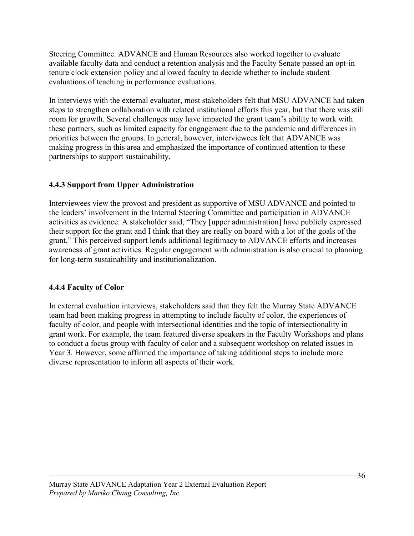Steering Committee. ADVANCE and Human Resources also worked together to evaluate available faculty data and conduct a retention analysis and the Faculty Senate passed an opt-in tenure clock extension policy and allowed faculty to decide whether to include student evaluations of teaching in performance evaluations.

In interviews with the external evaluator, most stakeholders felt that MSU ADVANCE had taken steps to strengthen collaboration with related institutional efforts this year, but that there was still room for growth. Several challenges may have impacted the grant team's ability to work with these partners, such as limited capacity for engagement due to the pandemic and differences in priorities between the groups. In general, however, interviewees felt that ADVANCE was making progress in this area and emphasized the importance of continued attention to these partnerships to support sustainability.

### **4.4.3 Support from Upper Administration**

Interviewees view the provost and president as supportive of MSU ADVANCE and pointed to the leaders' involvement in the Internal Steering Committee and participation in ADVANCE activities as evidence. A stakeholder said, "They [upper administration] have publicly expressed their support for the grant and I think that they are really on board with a lot of the goals of the grant." This perceived support lends additional legitimacy to ADVANCE efforts and increases awareness of grant activities. Regular engagement with administration is also crucial to planning for long-term sustainability and institutionalization.

### **4.4.4 Faculty of Color**

In external evaluation interviews, stakeholders said that they felt the Murray State ADVANCE team had been making progress in attempting to include faculty of color, the experiences of faculty of color, and people with intersectional identities and the topic of intersectionality in grant work. For example, the team featured diverse speakers in the Faculty Workshops and plans to conduct a focus group with faculty of color and a subsequent workshop on related issues in Year 3. However, some affirmed the importance of taking additional steps to include more diverse representation to inform all aspects of their work.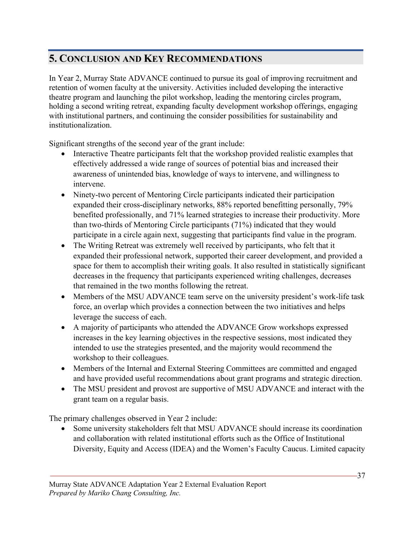# **5. CONCLUSION AND KEY RECOMMENDATIONS**

In Year 2, Murray State ADVANCE continued to pursue its goal of improving recruitment and retention of women faculty at the university. Activities included developing the interactive theatre program and launching the pilot workshop, leading the mentoring circles program, holding a second writing retreat, expanding faculty development workshop offerings, engaging with institutional partners, and continuing the consider possibilities for sustainability and institutionalization.

Significant strengths of the second year of the grant include:

- Interactive Theatre participants felt that the workshop provided realistic examples that effectively addressed a wide range of sources of potential bias and increased their awareness of unintended bias, knowledge of ways to intervene, and willingness to intervene.
- Ninety-two percent of Mentoring Circle participants indicated their participation expanded their cross-disciplinary networks, 88% reported benefitting personally, 79% benefited professionally, and 71% learned strategies to increase their productivity. More than two-thirds of Mentoring Circle participants (71%) indicated that they would participate in a circle again next, suggesting that participants find value in the program.
- The Writing Retreat was extremely well received by participants, who felt that it expanded their professional network, supported their career development, and provided a space for them to accomplish their writing goals. It also resulted in statistically significant decreases in the frequency that participants experienced writing challenges, decreases that remained in the two months following the retreat.
- Members of the MSU ADVANCE team serve on the university president's work-life task force, an overlap which provides a connection between the two initiatives and helps leverage the success of each.
- A majority of participants who attended the ADVANCE Grow workshops expressed increases in the key learning objectives in the respective sessions, most indicated they intended to use the strategies presented, and the majority would recommend the workshop to their colleagues.
- Members of the Internal and External Steering Committees are committed and engaged and have provided useful recommendations about grant programs and strategic direction.
- The MSU president and provost are supportive of MSU ADVANCE and interact with the grant team on a regular basis.

The primary challenges observed in Year 2 include:

• Some university stakeholders felt that MSU ADVANCE should increase its coordination and collaboration with related institutional efforts such as the Office of Institutional Diversity, Equity and Access (IDEA) and the Women's Faculty Caucus. Limited capacity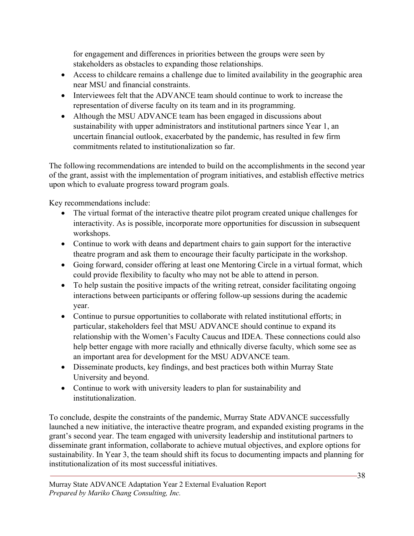for engagement and differences in priorities between the groups were seen by stakeholders as obstacles to expanding those relationships.

- Access to childcare remains a challenge due to limited availability in the geographic area near MSU and financial constraints.
- Interviewees felt that the ADVANCE team should continue to work to increase the representation of diverse faculty on its team and in its programming.
- Although the MSU ADVANCE team has been engaged in discussions about sustainability with upper administrators and institutional partners since Year 1, an uncertain financial outlook, exacerbated by the pandemic, has resulted in few firm commitments related to institutionalization so far.

The following recommendations are intended to build on the accomplishments in the second year of the grant, assist with the implementation of program initiatives, and establish effective metrics upon which to evaluate progress toward program goals.

Key recommendations include:

- The virtual format of the interactive theatre pilot program created unique challenges for interactivity. As is possible, incorporate more opportunities for discussion in subsequent workshops.
- Continue to work with deans and department chairs to gain support for the interactive theatre program and ask them to encourage their faculty participate in the workshop.
- Going forward, consider offering at least one Mentoring Circle in a virtual format, which could provide flexibility to faculty who may not be able to attend in person.
- To help sustain the positive impacts of the writing retreat, consider facilitating ongoing interactions between participants or offering follow-up sessions during the academic year.
- Continue to pursue opportunities to collaborate with related institutional efforts; in particular, stakeholders feel that MSU ADVANCE should continue to expand its relationship with the Women's Faculty Caucus and IDEA. These connections could also help better engage with more racially and ethnically diverse faculty, which some see as an important area for development for the MSU ADVANCE team.
- Disseminate products, key findings, and best practices both within Murray State University and beyond.
- Continue to work with university leaders to plan for sustainability and institutionalization.

To conclude, despite the constraints of the pandemic, Murray State ADVANCE successfully launched a new initiative, the interactive theatre program, and expanded existing programs in the grant's second year. The team engaged with university leadership and institutional partners to disseminate grant information, collaborate to achieve mutual objectives, and explore options for sustainability. In Year 3, the team should shift its focus to documenting impacts and planning for institutionalization of its most successful initiatives.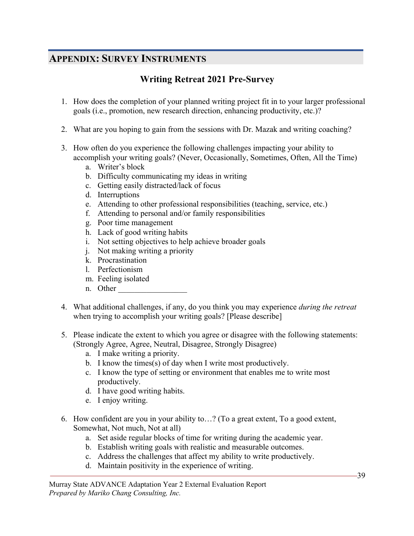## **APPENDIX: SURVEY INSTRUMENTS**

## **Writing Retreat 2021 Pre-Survey**

- 1. How does the completion of your planned writing project fit in to your larger professional goals (i.e., promotion, new research direction, enhancing productivity, etc.)?
- 2. What are you hoping to gain from the sessions with Dr. Mazak and writing coaching?
- 3. How often do you experience the following challenges impacting your ability to accomplish your writing goals? (Never, Occasionally, Sometimes, Often, All the Time)
	- a. Writer's block
	- b. Difficulty communicating my ideas in writing
	- c. Getting easily distracted/lack of focus
	- d. Interruptions
	- e. Attending to other professional responsibilities (teaching, service, etc.)
	- f. Attending to personal and/or family responsibilities
	- g. Poor time management
	- h. Lack of good writing habits
	- i. Not setting objectives to help achieve broader goals
	- j. Not making writing a priority
	- k. Procrastination
	- l. Perfectionism
	- m. Feeling isolated
	- n. Other
- 4. What additional challenges, if any, do you think you may experience *during the retreat* when trying to accomplish your writing goals? [Please describe]
- 5. Please indicate the extent to which you agree or disagree with the following statements: (Strongly Agree, Agree, Neutral, Disagree, Strongly Disagree)
	- a. I make writing a priority.
	- b. I know the times(s) of day when I write most productively.
	- c. I know the type of setting or environment that enables me to write most productively.
	- d. I have good writing habits.
	- e. I enjoy writing.
- 6. How confident are you in your ability to…? (To a great extent, To a good extent, Somewhat, Not much, Not at all)
	- a. Set aside regular blocks of time for writing during the academic year.
	- b. Establish writing goals with realistic and measurable outcomes.
	- c. Address the challenges that affect my ability to write productively.
	- d. Maintain positivity in the experience of writing.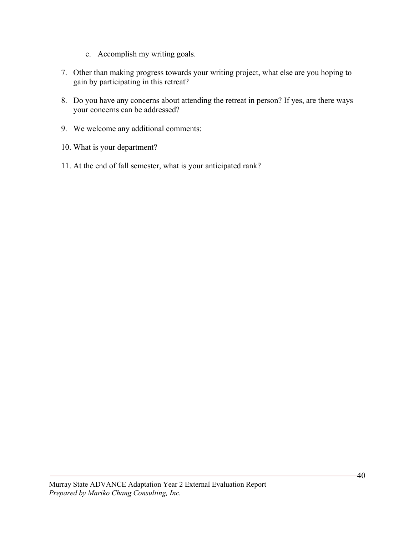- e. Accomplish my writing goals.
- 7. Other than making progress towards your writing project, what else are you hoping to gain by participating in this retreat?
- 8. Do you have any concerns about attending the retreat in person? If yes, are there ways your concerns can be addressed?
- 9. We welcome any additional comments:
- 10. What is your department?
- 11. At the end of fall semester, what is your anticipated rank?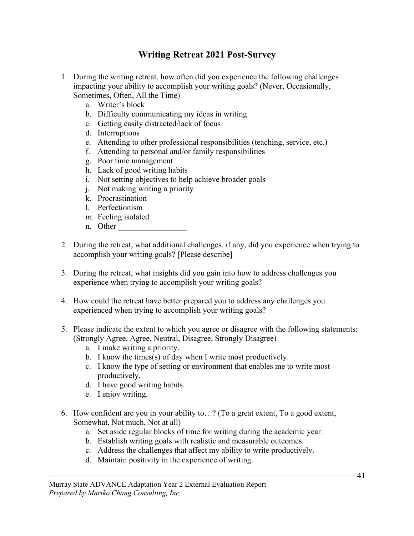## **Writing Retreat 2021 Post-Survey**

- 1. During the writing retreat, how often did you experience the following challenges impacting your ability to accomplish your writing goals? (Never, Occasionally, Sometimes, Often, All the Time)
	- a. Writer's block
	- b. Difficulty communicating my ideas in writing
	- c. Getting easily distracted/lack of focus
	- d. Interruptions
	- e. Attending to other professional responsibilities (teaching, service, etc.)
	- f. Attending to personal and/or family responsibilities
	- g. Poor time management
	- h. Lack of good writing habits
	- i. Not setting objectives to help achieve broader goals
	- j. Not making writing a priority
	- k. Procrastination
	- l. Perfectionism
	- m. Feeling isolated
	- n. Other
- 2. During the retreat, what additional challenges, if any, did you experience when trying to accomplish your writing goals? [Please describe]
- 3. During the retreat, what insights did you gain into how to address challenges you experience when trying to accomplish your writing goals?
- 4. How could the retreat have better prepared you to address any challenges you experienced when trying to accomplish your writing goals?
- 5. Please indicate the extent to which you agree or disagree with the following statements: (Strongly Agree, Agree, Neutral, Disagree, Strongly Disagree)
	- a. I make writing a priority.
	- b. I know the times(s) of day when I write most productively.
	- c. I know the type of setting or environment that enables me to write most productively.
	- d. I have good writing habits.
	- e. I enjoy writing.
- 6. How confident are you in your ability to…? (To a great extent, To a good extent, Somewhat, Not much, Not at all)
	- a. Set aside regular blocks of time for writing during the academic year.
	- b. Establish writing goals with realistic and measurable outcomes.
	- c. Address the challenges that affect my ability to write productively.
	- d. Maintain positivity in the experience of writing.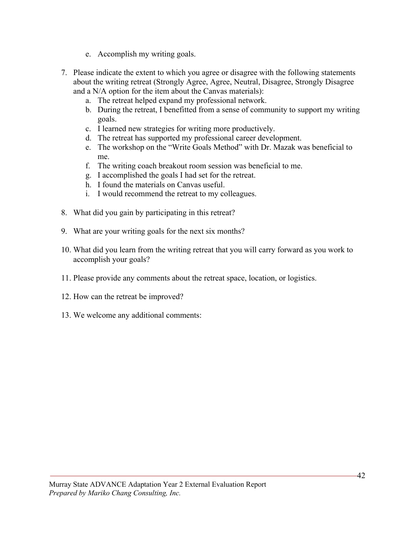- e. Accomplish my writing goals.
- 7. Please indicate the extent to which you agree or disagree with the following statements about the writing retreat (Strongly Agree, Agree, Neutral, Disagree, Strongly Disagree and a N/A option for the item about the Canvas materials):
	- a. The retreat helped expand my professional network.
	- b. During the retreat, I benefitted from a sense of community to support my writing goals.
	- c. I learned new strategies for writing more productively.
	- d. The retreat has supported my professional career development.
	- e. The workshop on the "Write Goals Method" with Dr. Mazak was beneficial to me.
	- f. The writing coach breakout room session was beneficial to me.
	- g. I accomplished the goals I had set for the retreat.
	- h. I found the materials on Canvas useful.
	- i. I would recommend the retreat to my colleagues.
- 8. What did you gain by participating in this retreat?
- 9. What are your writing goals for the next six months?
- 10. What did you learn from the writing retreat that you will carry forward as you work to accomplish your goals?
- 11. Please provide any comments about the retreat space, location, or logistics.
- 12. How can the retreat be improved?
- 13. We welcome any additional comments: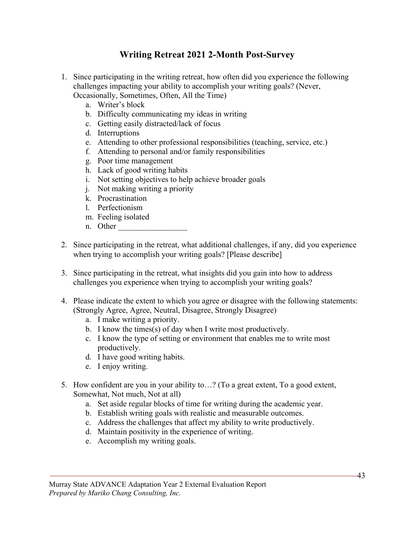## **Writing Retreat 2021 2-Month Post-Survey**

- 1. Since participating in the writing retreat, how often did you experience the following challenges impacting your ability to accomplish your writing goals? (Never, Occasionally, Sometimes, Often, All the Time)
	- a. Writer's block
	- b. Difficulty communicating my ideas in writing
	- c. Getting easily distracted/lack of focus
	- d. Interruptions
	- e. Attending to other professional responsibilities (teaching, service, etc.)
	- f. Attending to personal and/or family responsibilities
	- g. Poor time management
	- h. Lack of good writing habits
	- i. Not setting objectives to help achieve broader goals
	- j. Not making writing a priority
	- k. Procrastination
	- l. Perfectionism
	- m. Feeling isolated
	- n. Other
- 2. Since participating in the retreat, what additional challenges, if any, did you experience when trying to accomplish your writing goals? [Please describe]
- 3. Since participating in the retreat, what insights did you gain into how to address challenges you experience when trying to accomplish your writing goals?
- 4. Please indicate the extent to which you agree or disagree with the following statements: (Strongly Agree, Agree, Neutral, Disagree, Strongly Disagree)
	- a. I make writing a priority.
	- b. I know the times(s) of day when I write most productively.
	- c. I know the type of setting or environment that enables me to write most productively.
	- d. I have good writing habits.
	- e. I enjoy writing.
- 5. How confident are you in your ability to…? (To a great extent, To a good extent, Somewhat, Not much, Not at all)
	- a. Set aside regular blocks of time for writing during the academic year.
	- b. Establish writing goals with realistic and measurable outcomes.
	- c. Address the challenges that affect my ability to write productively.
	- d. Maintain positivity in the experience of writing.
	- e. Accomplish my writing goals.